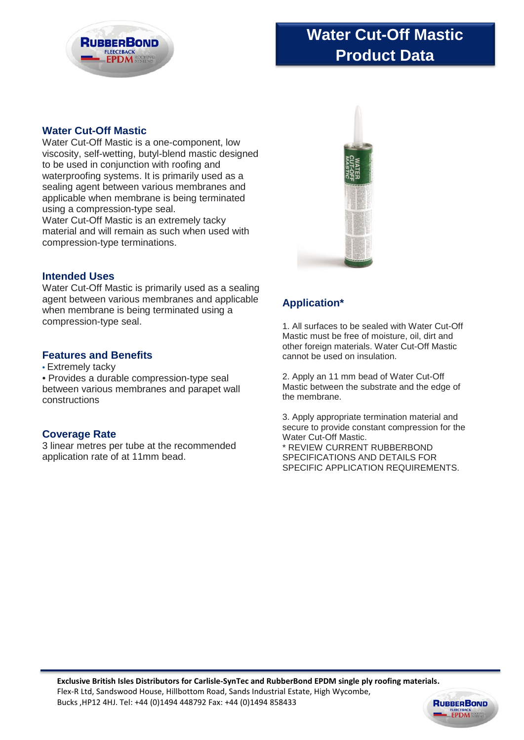

# **Water Cut-Off Mastic Product Data**

## **Water Cut-Off Mastic**

Water Cut-Off Mastic is a one-component, low viscosity, self-wetting, butyl-blend mastic designed to be used in conjunction with roofing and waterproofing systems. It is primarily used as a sealing agent between various membranes and applicable when membrane is being terminated using a compression-type seal. Water Cut-Off Mastic is an extremely tacky

material and will remain as such when used with compression-type terminations.



### **Intended Uses**

Water Cut-Off Mastic is primarily used as a sealing agent between various membranes and applicable when membrane is being terminated using a compression-type seal.

### **Features and Benefits**

• Extremely tacky

• Provides a durable compression-type seal between various membranes and parapet wall constructions

## **Coverage Rate**

3 linear metres per tube at the recommended application rate of at 11mm bead.

## **Application\***

1. All surfaces to be sealed with Water Cut-Off Mastic must be free of moisture, oil, dirt and other foreign materials. Water Cut-Off Mastic cannot be used on insulation.

2. Apply an 11 mm bead of Water Cut-Off Mastic between the substrate and the edge of the membrane.

3. Apply appropriate termination material and secure to provide constant compression for the Water Cut-Off Mastic.

\* REVIEW CURRENT RUBBERBOND SPECIFICATIONS AND DETAILS FOR SPECIFIC APPLICATION REQUIREMENTS.